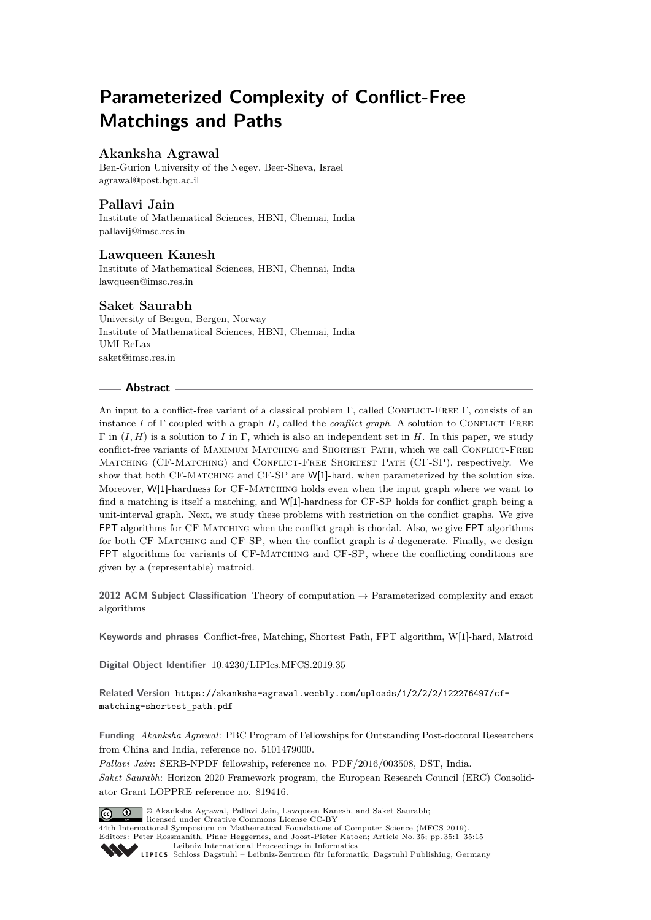# **Parameterized Complexity of Conflict-Free Matchings and Paths**

# **Akanksha Agrawal**

Ben-Gurion University of the Negev, Beer-Sheva, Israel agrawal@post.bgu.ac.il

# **Pallavi Jain**

Institute of Mathematical Sciences, HBNI, Chennai, India pallavij@imsc.res.in

## **Lawqueen Kanesh**

Institute of Mathematical Sciences, HBNI, Chennai, India lawqueen@imsc.res.in

## **Saket Saurabh**

University of Bergen, Bergen, Norway Institute of Mathematical Sciences, HBNI, Chennai, India UMI ReLax saket@imsc.res.in

# **Abstract**

An input to a conflict-free variant of a classical problem Γ, called CONFLICT-FREE Γ, consists of an instance *I* of Γ coupled with a graph *H*, called the *conflict graph*. A solution to CONFLICT-FREE Γ in (*I, H*) is a solution to *I* in Γ, which is also an independent set in *H*. In this paper, we study conflict-free variants of MAXIMUM MATCHING and SHORTEST PATH, which we call CONFLICT-FREE Matching (CF-Matching) and Conflict-Free Shortest Path (CF-SP), respectively. We show that both CF-MATCHING and CF-SP are W[1]-hard, when parameterized by the solution size. Moreover, W[1]-hardness for CF-MATCHING holds even when the input graph where we want to find a matching is itself a matching, and W[1]-hardness for CF-SP holds for conflict graph being a unit-interval graph. Next, we study these problems with restriction on the conflict graphs. We give FPT algorithms for CF-Matching when the conflict graph is chordal. Also, we give FPT algorithms for both CF-Matching and CF-SP, when the conflict graph is *d*-degenerate. Finally, we design FPT algorithms for variants of CF-MATCHING and CF-SP, where the conflicting conditions are given by a (representable) matroid.

**2012 ACM Subject Classification** Theory of computation → Parameterized complexity and exact algorithms

**Keywords and phrases** Conflict-free, Matching, Shortest Path, FPT algorithm, W[1]-hard, Matroid

**Digital Object Identifier** 10.4230/LIPIcs.MFCS.2019.35

**Related Version** https://akanksha-agrawal.weebly.com/uploads/1/2/2/2/122276497/cfmatching-shortest\_path.pdf

**Funding** *Akanksha Agrawal*: PBC Program of Fellowships for Outstanding Post-doctoral Researchers from China and India, reference no. 5101479000.

*Pallavi Jain*: SERB-NPDF fellowship, reference no. PDF/2016/003508, DST, India.

*Saket Saurabh*: Horizon 2020 Framework program, the European Research Council (ERC) Consolidator Grant LOPPRE reference no. 819416.



© Akanksha Agrawal, Pallavi Jain, Lawqueen Kanesh, and Saket Saurabh; licensed under Creative Commons License CC-BY

44th International Symposium on Mathematical Foundations of Computer Science (MFCS 2019). Editors: Peter Rossmanith, Pinar Heggernes, and Joost-Pieter Katoen; Article No. 35; pp. 35:1–35:15 Leibniz International Proceedings in Informatics

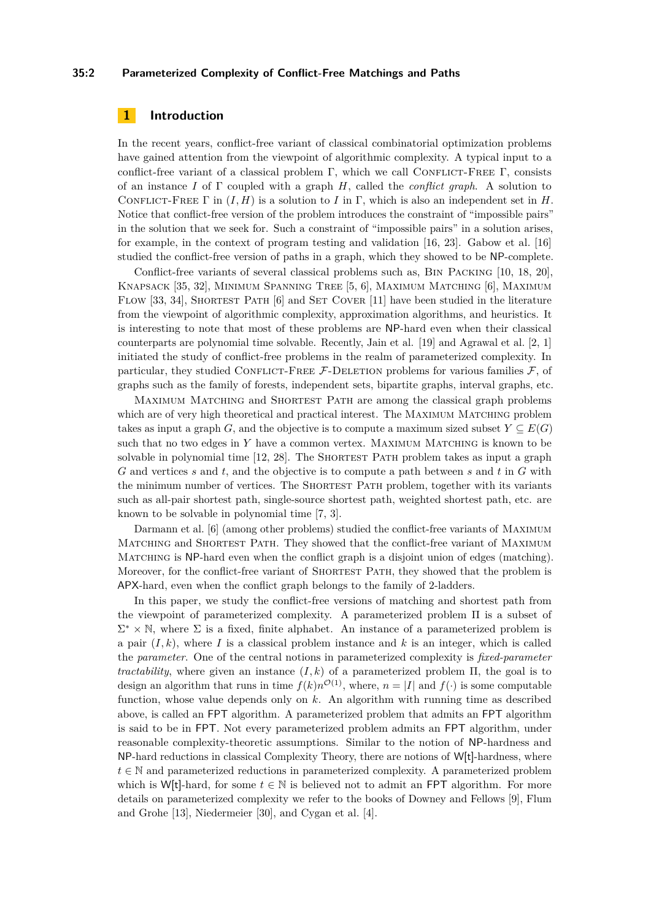#### **35:2 Parameterized Complexity of Conflict-Free Matchings and Paths**

# **1 Introduction**

In the recent years, conflict-free variant of classical combinatorial optimization problems have gained attention from the viewpoint of algorithmic complexity. A typical input to a conflict-free variant of a classical problem Γ, which we call CONFLICT-FREE Γ, consists of an instance *I* of Γ coupled with a graph *H*, called the *conflict graph*. A solution to CONFLICT-FREE  $\Gamma$  in  $(I, H)$  is a solution to *I* in  $\Gamma$ , which is also an independent set in *H*. Notice that conflict-free version of the problem introduces the constraint of "impossible pairs" in the solution that we seek for. Such a constraint of "impossible pairs" in a solution arises, for example, in the context of program testing and validation [16, 23]. Gabow et al. [16] studied the conflict-free version of paths in a graph, which they showed to be NP-complete.

Conflict-free variants of several classical problems such as, Bin Packing [10, 18, 20], Knapsack [35, 32], Minimum Spanning Tree [5, 6], Maximum Matching [6], Maximum FLOW [33, 34], SHORTEST PATH [6] and SET COVER [11] have been studied in the literature from the viewpoint of algorithmic complexity, approximation algorithms, and heuristics. It is interesting to note that most of these problems are NP-hard even when their classical counterparts are polynomial time solvable. Recently, Jain et al. [19] and Agrawal et al. [2, 1] initiated the study of conflict-free problems in the realm of parameterized complexity. In particular, they studied CONFLICT-FREE  $F$ -DELETION problems for various families  $F$ , of graphs such as the family of forests, independent sets, bipartite graphs, interval graphs, etc.

Maximum Matching and Shortest Path are among the classical graph problems which are of very high theoretical and practical interest. The MAXIMUM MATCHING problem takes as input a graph *G*, and the objective is to compute a maximum sized subset  $Y \subseteq E(G)$ such that no two edges in Y have a common vertex. MAXIMUM MATCHING is known to be solvable in polynomial time [12, 28]. The SHORTEST PATH problem takes as input a graph *G* and vertices *s* and *t*, and the objective is to compute a path between *s* and *t* in *G* with the minimum number of vertices. The SHORTEST PATH problem, together with its variants such as all-pair shortest path, single-source shortest path, weighted shortest path, etc. are known to be solvable in polynomial time [7, 3].

Darmann et al. [6] (among other problems) studied the conflict-free variants of Maximum MATCHING and SHORTEST PATH. They showed that the conflict-free variant of MAXIMUM MATCHING is NP-hard even when the conflict graph is a disjoint union of edges (matching). Moreover, for the conflict-free variant of SHORTEST PATH, they showed that the problem is APX-hard, even when the conflict graph belongs to the family of 2-ladders.

In this paper, we study the conflict-free versions of matching and shortest path from the viewpoint of parameterized complexity. A parameterized problem Π is a subset of  $\Sigma^* \times \mathbb{N}$ , where  $\Sigma$  is a fixed, finite alphabet. An instance of a parameterized problem is a pair  $(I, k)$ , where I is a classical problem instance and k is an integer, which is called the *parameter*. One of the central notions in parameterized complexity is *fixed-parameter tractability*, where given an instance  $(I, k)$  of a parameterized problem  $\Pi$ , the goal is to design an algorithm that runs in time  $f(k)n^{\mathcal{O}(1)}$ , where,  $n = |I|$  and  $f(\cdot)$  is some computable function, whose value depends only on *k*. An algorithm with running time as described above, is called an FPT algorithm. A parameterized problem that admits an FPT algorithm is said to be in FPT. Not every parameterized problem admits an FPT algorithm, under reasonable complexity-theoretic assumptions. Similar to the notion of NP-hardness and NP-hard reductions in classical Complexity Theory, there are notions of W[t]-hardness, where  $t \in \mathbb{N}$  and parameterized reductions in parameterized complexity. A parameterized problem which is W[t]-hard, for some  $t \in \mathbb{N}$  is believed not to admit an FPT algorithm. For more details on parameterized complexity we refer to the books of Downey and Fellows [9], Flum and Grohe [13], Niedermeier [30], and Cygan et al. [4].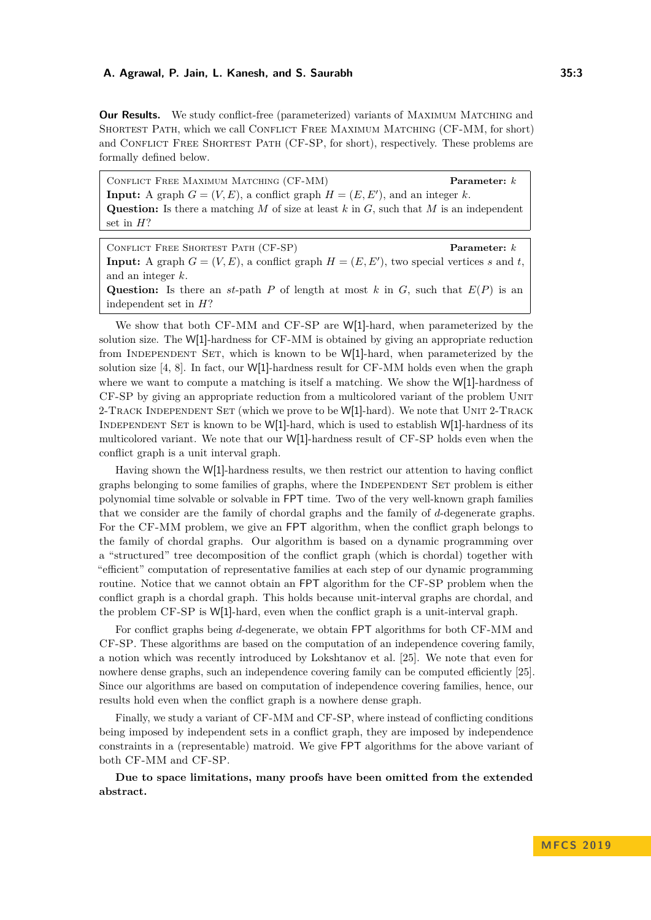**Our Results.** We study conflict-free (parameterized) variants of MAXIMUM MATCHING and Shortest Path, which we call Conflict Free Maximum Matching (CF-MM, for short) and CONFLICT FREE SHORTEST PATH (CF-SP, for short), respectively. These problems are formally defined below.

Conflict Free Maximum Matching (CF-MM) **Parameter:** *k* **Input:** A graph  $G = (V, E)$ , a conflict graph  $H = (E, E')$ , and an integer *k*. **Question:** Is there a matching *M* of size at least *k* in *G*, such that *M* is an independent set in *H*?

Conflict Free Shortest Path (CF-SP) **Parameter:** *k* **Input:** A graph  $G = (V, E)$ , a conflict graph  $H = (E, E')$ , two special vertices *s* and *t*, and an integer *k*. Question: Is there an *st*-path *P* of length at most *k* in *G*, such that  $E(P)$  is an independent set in *H*?

We show that both CF-MM and CF-SP are W[1]-hard, when parameterized by the solution size. The W[1]-hardness for CF-MM is obtained by giving an appropriate reduction from INDEPENDENT SET, which is known to be  $W[1]$ -hard, when parameterized by the solution size  $[4, 8]$ . In fact, our W[1]-hardness result for CF-MM holds even when the graph where we want to compute a matching is itself a matching. We show the W[1]-hardness of CF-SP by giving an appropriate reduction from a multicolored variant of the problem Unit 2-TRACK INDEPENDENT SET (which we prove to be  $W[1]$ -hard). We note that UNIT 2-TRACK INDEPENDENT SET is known to be W[1]-hard, which is used to establish W[1]-hardness of its multicolored variant. We note that our W[1]-hardness result of CF-SP holds even when the conflict graph is a unit interval graph.

Having shown the W[1]-hardness results, we then restrict our attention to having conflict graphs belonging to some families of graphs, where the INDEPENDENT SET problem is either polynomial time solvable or solvable in FPT time. Two of the very well-known graph families that we consider are the family of chordal graphs and the family of *d*-degenerate graphs. For the CF-MM problem, we give an FPT algorithm, when the conflict graph belongs to the family of chordal graphs. Our algorithm is based on a dynamic programming over a "structured" tree decomposition of the conflict graph (which is chordal) together with "efficient" computation of representative families at each step of our dynamic programming routine. Notice that we cannot obtain an FPT algorithm for the CF-SP problem when the conflict graph is a chordal graph. This holds because unit-interval graphs are chordal, and the problem CF-SP is W[1]-hard, even when the conflict graph is a unit-interval graph.

For conflict graphs being *d*-degenerate, we obtain FPT algorithms for both CF-MM and CF-SP. These algorithms are based on the computation of an independence covering family, a notion which was recently introduced by Lokshtanov et al. [25]. We note that even for nowhere dense graphs, such an independence covering family can be computed efficiently [25]. Since our algorithms are based on computation of independence covering families, hence, our results hold even when the conflict graph is a nowhere dense graph.

Finally, we study a variant of CF-MM and CF-SP, where instead of conflicting conditions being imposed by independent sets in a conflict graph, they are imposed by independence constraints in a (representable) matroid. We give FPT algorithms for the above variant of both CF-MM and CF-SP.

**Due to space limitations, many proofs have been omitted from the extended abstract.**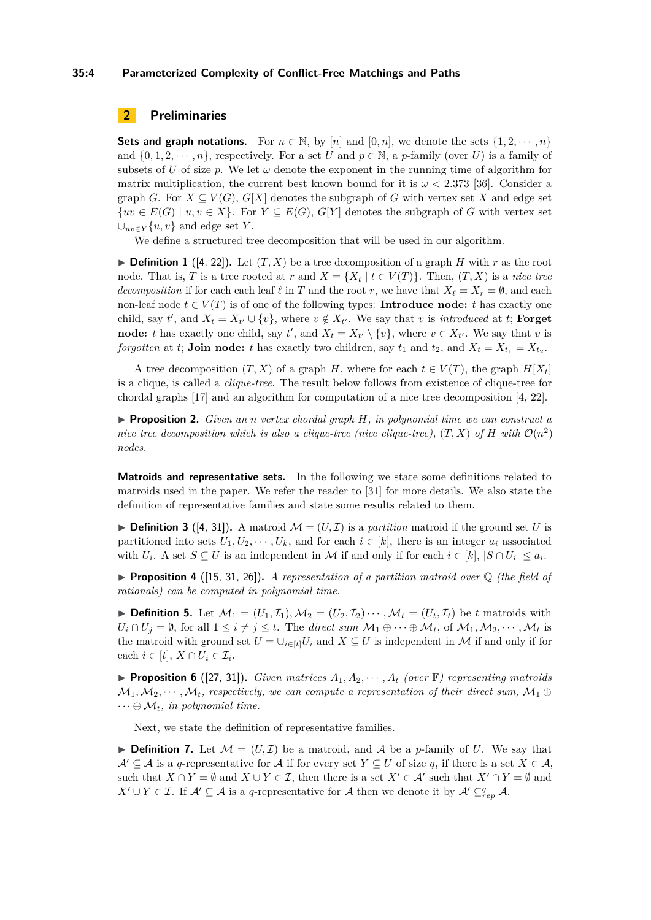#### **35:4 Parameterized Complexity of Conflict-Free Matchings and Paths**

# **2 Preliminaries**

**Sets and graph notations.** For  $n \in \mathbb{N}$ , by [*n*] and [0, *n*], we denote the sets  $\{1, 2, \dots, n\}$ and  $\{0, 1, 2, \dots, n\}$ , respectively. For a set *U* and  $p \in \mathbb{N}$ , a *p*-family (over *U*) is a family of subsets of *U* of size *p*. We let  $\omega$  denote the exponent in the running time of algorithm for matrix multiplication, the current best known bound for it is  $\omega < 2.373$  [36]. Consider a graph *G*. For  $X \subseteq V(G)$ ,  $G[X]$  denotes the subgraph of *G* with vertex set *X* and edge set  ${uv \in E(G) \mid u, v \in X}$ . For  $Y \subseteq E(G), G[Y]$  denotes the subgraph of *G* with vertex set  $∪_{uv\in Y}$ {*u, v*} and edge set *Y*.

We define a structured tree decomposition that will be used in our algorithm.

 $\blacktriangleright$  **Definition 1** ([4, 22]). Let  $(T, X)$  be a tree decomposition of a graph *H* with *r* as the root node. That is, *T* is a tree rooted at *r* and  $X = \{X_t | t \in V(T)\}\)$ . Then,  $(T, X)$  is a *nice tree decomposition* if for each each leaf  $\ell$  in *T* and the root *r*, we have that  $X_{\ell} = X_r = \emptyset$ , and each non-leaf node  $t \in V(T)$  is of one of the following types: **Introduce node:** *t* has exactly one child, say *t'*, and  $X_t = X_{t'} \cup \{v\}$ , where  $v \notin X_{t'}$ . We say that *v* is *introduced* at *t*; **Forget node:** *t* has exactly one child, say *t*', and  $X_t = X_{t'} \setminus \{v\}$ , where  $v \in X_{t'}$ . We say that *v* is *forgotten* at *t*; **Join node:** *t* has exactly two children, say  $t_1$  and  $t_2$ , and  $X_t = X_{t_1} = X_{t_2}$ .

A tree decomposition  $(T, X)$  of a graph *H*, where for each  $t \in V(T)$ , the graph  $H[X_t]$ is a clique, is called a *clique-tree*. The result below follows from existence of clique-tree for chordal graphs [17] and an algorithm for computation of a nice tree decomposition [4, 22].

◮ **Proposition 2.** *Given an n vertex chordal graph H, in polynomial time we can construct a nice tree decomposition which is also a clique-tree (nice clique-tree),*  $(T, X)$  *of*  $H$  *with*  $\mathcal{O}(n^2)$ *nodes.*

**Matroids and representative sets.** In the following we state some definitions related to matroids used in the paper. We refer the reader to [31] for more details. We also state the definition of representative families and state some results related to them.

 $\triangleright$  **Definition 3** ([4, 31]). A matroid  $\mathcal{M} = (U, \mathcal{I})$  is a *partition* matroid if the ground set *U* is partitioned into sets  $U_1, U_2, \cdots, U_k$ , and for each  $i \in [k]$ , there is an integer  $a_i$  associated with  $U_i$ . A set  $S \subseteq U$  is an independent in M if and only if for each  $i \in [k]$ ,  $|S \cap U_i| \leq a_i$ .

◮ **Proposition 4** ([15, 31, 26])**.** *A representation of a partition matroid over* Q *(the field of rationals) can be computed in polynomial time.*

 $\blacktriangleright$  **Definition 5.** Let  $\mathcal{M}_1 = (U_1, \mathcal{I}_1), \mathcal{M}_2 = (U_2, \mathcal{I}_2) \cdots, \mathcal{M}_t = (U_t, \mathcal{I}_t)$  be *t* matroids with  $U_i \cap U_j = \emptyset$ , for all  $1 \leq i \neq j \leq t$ . The *direct sum*  $\mathcal{M}_1 \oplus \cdots \oplus \mathcal{M}_t$ , of  $\mathcal{M}_1, \mathcal{M}_2, \cdots, \mathcal{M}_t$  is the matroid with ground set  $U = \bigcup_{i \in [t]} U_i$  and  $X \subseteq U$  is independent in M if and only if for each  $i \in [t], X \cap U_i \in \mathcal{I}_i$ .

**Proposition 6** ([27, 31]). *Given matrices*  $A_1, A_2, \cdots, A_t$  *(over*  $\mathbb{F}$ *) representing matroids*  $M_1, M_2, \cdots, M_t$ , respectively, we can compute a representation of their direct sum,  $M_1 \oplus$  $\cdots \oplus M_t$ *, in polynomial time.* 

Next, we state the definition of representative families.

 $\triangleright$  **Definition 7.** Let  $\mathcal{M} = (U, \mathcal{I})$  be a matroid, and A be a *p*-family of U. We say that  $\mathcal{A}' \subseteq \mathcal{A}$  is a *q*-representative for  $\mathcal{A}$  if for every set  $Y \subseteq U$  of size *q*, if there is a set  $X \in \mathcal{A}$ , such that  $X \cap Y = \emptyset$  and  $X \cup Y \in \mathcal{I}$ , then there is a set  $X' \in \mathcal{A}'$  such that  $X' \cap Y = \emptyset$  and *X*′ ∪ *Y* ∈ *I*. If  $\mathcal{A}' \subseteq \mathcal{A}$  is a *q*-representative for  $\mathcal{A}$  then we denote it by  $\mathcal{A}' \subseteq_{rep}^q \mathcal{A}$ .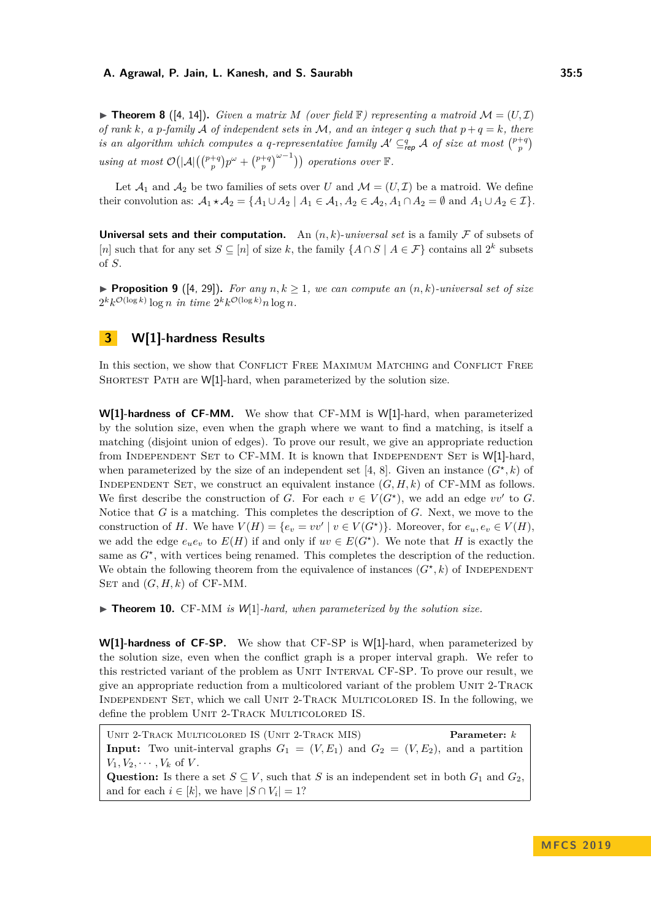$\blacktriangleright$  **Theorem 8** ([4, 14]). *Given a matrix M (over field* F) *representing a matroid*  $\mathcal{M} = (U, \mathcal{I})$ *of rank*  $k$ *, a*  $p$ *-family*  $\mathcal A$  *of independent sets in*  $\mathcal M$ *, and an integer*  $q$  *such that*  $p + q = k$ *, there is an algorithm which computes a q-representative family*  $A' \subseteq_{\text{rep}}^q A$  *of size at most*  $\binom{p+q}{p}$  $using at most \mathcal{O}(|A|(\binom{p+q}{p}p^{\omega} + \binom{p+q}{p}^{\omega-1}))$  operations over **F**.

Let  $\mathcal{A}_1$  and  $\mathcal{A}_2$  be two families of sets over *U* and  $\mathcal{M} = (U, \mathcal{I})$  be a matroid. We define their convolution as:  $\mathcal{A}_1 \star \mathcal{A}_2 = \{A_1 \cup A_2 \mid A_1 \in \mathcal{A}_1, A_2 \in \mathcal{A}_2, A_1 \cap A_2 = \emptyset \text{ and } A_1 \cup A_2 \in \mathcal{I}\}.$ 

**Universal sets and their computation.** An  $(n, k)$ -*universal set* is a family  $\mathcal F$  of subsets of [*n*] such that for any set  $S \subseteq [n]$  of size *k*, the family  $\{A \cap S \mid A \in \mathcal{F}\}\)$  contains all  $2^k$  subsets of *S*.

**Proposition 9** ([4, 29]). For any  $n, k \geq 1$ , we can compute an  $(n, k)$ -universal set of size  $2^k k^{\mathcal{O}(\log k)} \log n$  *in time*  $2^k k^{\mathcal{O}(\log k)} n \log n$ .

# **3 W[1]-hardness Results**

In this section, we show that CONFLICT FREE MAXIMUM MATCHING and CONFLICT FREE SHORTEST PATH are W[1]-hard, when parameterized by the solution size.

**W[1]-hardness of CF-MM.** We show that CF-MM is W[1]-hard, when parameterized by the solution size, even when the graph where we want to find a matching, is itself a matching (disjoint union of edges). To prove our result, we give an appropriate reduction from INDEPENDENT SET to  $CF-MM$ . It is known that INDEPENDENT SET is  $W[1]$ -hard, when parameterized by the size of an independent set [4, 8]. Given an instance  $(G^*, k)$  of INDEPENDENT SET, we construct an equivalent instance  $(G, H, k)$  of CF-MM as follows. We first describe the construction of *G*. For each  $v \in V(G^*)$ , we add an edge  $vv'$  to *G*. Notice that *G* is a matching. This completes the description of *G*. Next, we move to the construction of *H*. We have  $V(H) = \{e_v = vv' \mid v \in V(G^*)\}$ . Moreover, for  $e_u, e_v \in V(H)$ , we add the edge  $e_u e_v$  to  $E(H)$  if and only if  $uv \in E(G^*)$ . We note that *H* is exactly the same as  $G^*$ , with vertices being renamed. This completes the description of the reduction. We obtain the following theorem from the equivalence of instances  $(G^*, k)$  of INDEPENDENT SET and  $(G, H, k)$  of CF-MM.

▶ **Theorem 10.** CF-MM *is W*[1]*-hard, when parameterized by the solution size.* 

**W[1]-hardness of CF-SP.** We show that CF-SP is W[1]-hard, when parameterized by the solution size, even when the conflict graph is a proper interval graph. We refer to this restricted variant of the problem as Unit Interval CF-SP. To prove our result, we give an appropriate reduction from a multicolored variant of the problem Unit 2-Track Independent Set, which we call Unit 2-Track Multicolored IS. In the following, we define the problem UNIT 2-TRACK MULTICOLORED IS.

Unit 2-Track Multicolored IS (Unit 2-Track MIS) **Parameter:** *k* **Input:** Two unit-interval graphs  $G_1 = (V, E_1)$  and  $G_2 = (V, E_2)$ , and a partition  $V_1, V_2, \cdots, V_k$  of *V*. Question: Is there a set  $S \subseteq V$ , such that *S* is an independent set in both  $G_1$  and  $G_2$ , and for each  $i \in [k]$ , we have  $|S \cap V_i| = 1$ ?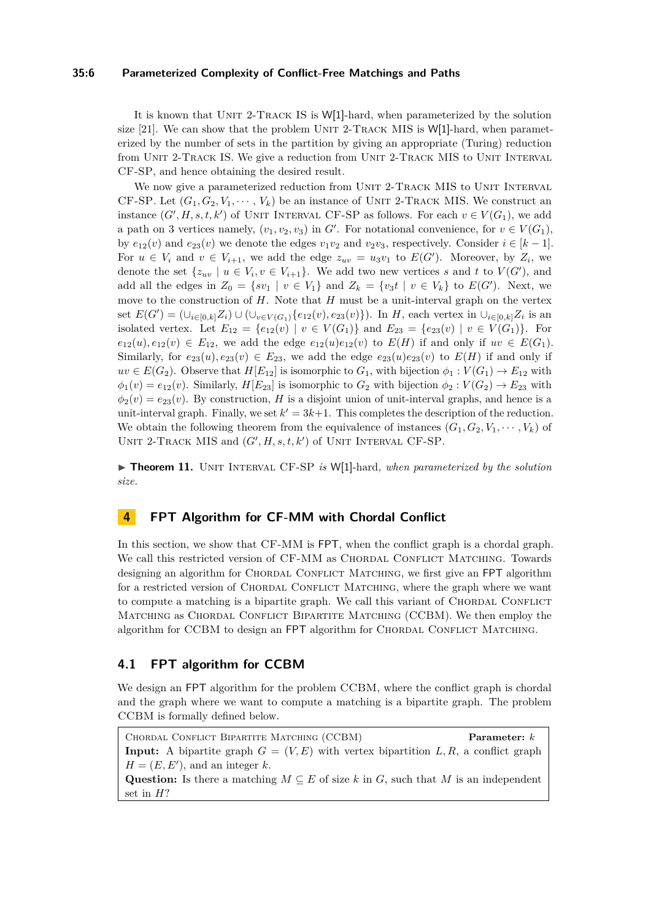#### **35:6 Parameterized Complexity of Conflict-Free Matchings and Paths**

It is known that UNIT 2-TRACK IS is W[1]-hard, when parameterized by the solution size [21]. We can show that the problem UNIT 2-TRACK MIS is  $W[1]$ -hard, when parameterized by the number of sets in the partition by giving an appropriate (Turing) reduction from UNIT 2-TRACK IS. We give a reduction from UNIT 2-TRACK MIS to UNIT INTERVAL CF-SP, and hence obtaining the desired result.

We now give a parameterized reduction from UNIT 2-TRACK MIS to UNIT INTERVAL CF-SP. Let  $(G_1, G_2, V_1, \dots, V_k)$  be an instance of UNIT 2-TRACK MIS. We construct an instance  $(G', H, s, t, k')$  of UNIT INTERVAL CF-SP as follows. For each  $v \in V(G_1)$ , we add a path on 3 vertices namely,  $(v_1, v_2, v_3)$  in *G*<sup>'</sup>. For notational convenience, for  $v \in V(G_1)$ , by  $e_{12}(v)$  and  $e_{23}(v)$  we denote the edges  $v_1v_2$  and  $v_2v_3$ , respectively. Consider  $i \in [k-1]$ . For  $u \in V_i$  and  $v \in V_{i+1}$ , we add the edge  $z_{uv} = u_3v_1$  to  $E(G')$ . Moreover, by  $Z_i$ , we denote the set  $\{z_{uv} \mid u \in V_i, v \in V_{i+1}\}$ . We add two new vertices *s* and *t* to  $V(G')$ , and add all the edges in  $Z_0 = \{sv_1 \mid v \in V_1\}$  and  $Z_k = \{v_3 t \mid v \in V_k\}$  to  $E(G')$ . Next, we move to the construction of *H*. Note that *H* must be a unit-interval graph on the vertex set  $E(G') = (\cup_{i \in [0,k]} Z_i) \cup (\cup_{v \in V(G_1)} \{e_{12}(v), e_{23}(v)\})$ . In *H*, each vertex in  $\cup_{i \in [0,k]} Z_i$  is an isolated vertex. Let  $E_{12} = \{e_{12}(v) | v \in V(G_1)\}\$ and  $E_{23} = \{e_{23}(v) | v \in V(G_1)\}\$ . For  $e_{12}(u), e_{12}(v) \in E_{12}$ , we add the edge  $e_{12}(u)e_{12}(v)$  to  $E(H)$  if and only if  $uv \in E(G_1)$ . Similarly, for  $e_{23}(u), e_{23}(v) \in E_{23}$ , we add the edge  $e_{23}(u)e_{23}(v)$  to  $E(H)$  if and only if  $uv \in E(G_2)$ . Observe that  $H[E_{12}]$  is isomorphic to  $G_1$ , with bijection  $\phi_1 : V(G_1) \to E_{12}$  with  $\phi_1(v) = e_{12}(v)$ . Similarly, *H*[*E*<sub>23</sub>] is isomorphic to *G*<sub>2</sub> with bijection  $\phi_2 : V(G_2) \to E_{23}$  with  $\phi_2(v) = e_{23}(v)$ . By construction, *H* is a disjoint union of unit-interval graphs, and hence is a unit-interval graph. Finally, we set  $k' = 3k+1$ . This completes the description of the reduction. We obtain the following theorem from the equivalence of instances  $(G_1, G_2, V_1, \cdots, V_k)$  of UNIT 2-TRACK MIS and  $(G', H, s, t, k')$  of UNIT INTERVAL CF-SP.

▶ **Theorem 11.** UNIT INTERVAL CF-SP *is* W[1]-hard, when parameterized by the solution *size.*

## **4 FPT Algorithm for CF-MM with Chordal Conflict**

In this section, we show that CF-MM is FPT, when the conflict graph is a chordal graph. We call this restricted version of CF-MM as CHORDAL CONFLICT MATCHING. Towards designing an algorithm for CHORDAL CONFLICT MATCHING, we first give an FPT algorithm for a restricted version of CHORDAL CONFLICT MATCHING, where the graph where we want to compute a matching is a bipartite graph. We call this variant of CHORDAL CONFLICT MATCHING as CHORDAL CONFLICT BIPARTITE MATCHING (CCBM). We then employ the algorithm for CCBM to design an FPT algorithm for CHORDAL CONFLICT MATCHING.

# **4.1 FPT algorithm for CCBM**

We design an FPT algorithm for the problem CCBM, where the conflict graph is chordal and the graph where we want to compute a matching is a bipartite graph. The problem CCBM is formally defined below.

Chordal Conflict Bipartite Matching (CCBM) **Parameter:** *k* **Input:** A bipartite graph  $G = (V, E)$  with vertex bipartition  $L, R$ , a conflict graph  $H = (E, E')$ , and an integer *k*. **Question:** Is there a matching  $M \subseteq E$  of size k in *G*, such that M is an independent set in *H*?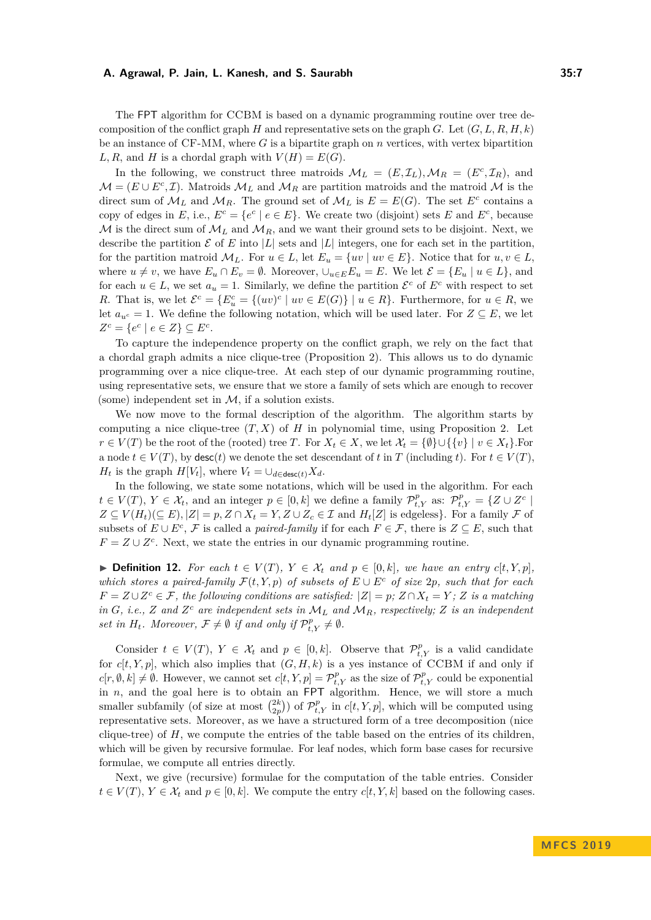The FPT algorithm for CCBM is based on a dynamic programming routine over tree decomposition of the conflict graph *H* and representative sets on the graph *G*. Let  $(G, L, R, H, k)$ be an instance of CF-MM, where *G* is a bipartite graph on *n* vertices, with vertex bipartition  $L, R$ , and *H* is a chordal graph with  $V(H) = E(G)$ .

In the following, we construct three matroids  $\mathcal{M}_L = (E, \mathcal{I}_L), \mathcal{M}_R = (E^c, \mathcal{I}_R)$ , and  $\mathcal{M} = (E \cup E^c, \mathcal{I})$ . Matroids  $\mathcal{M}_L$  and  $\mathcal{M}_R$  are partition matroids and the matroid  $\mathcal{M}$  is the direct sum of  $\mathcal{M}_L$  and  $\mathcal{M}_R$ . The ground set of  $\mathcal{M}_L$  is  $E = E(G)$ . The set  $E^c$  contains a copy of edges in *E*, i.e.,  $E^c = \{e^c \mid e \in E\}$ . We create two (disjoint) sets *E* and  $E^c$ , because  $M$  is the direct sum of  $M_L$  and  $M_R$ , and we want their ground sets to be disjoint. Next, we describe the partition  $\mathcal E$  of  $E$  into  $|L|$  sets and  $|L|$  integers, one for each set in the partition, for the partition matroid  $\mathcal{M}_L$ . For  $u \in L$ , let  $E_u = \{uv \mid uv \in E\}$ . Notice that for  $u, v \in L$ , where  $u \neq v$ , we have  $E_u \cap E_v = \emptyset$ . Moreover,  $\cup_{u \in E} E_u = E$ . We let  $\mathcal{E} = \{E_u \mid u \in L\}$ , and for each  $u \in L$ , we set  $a_u = 1$ . Similarly, we define the partition  $\mathcal{E}^c$  of  $E^c$  with respect to set *R*. That is, we let  $\mathcal{E}^c = \{E^c_u = \{(uv)^c \mid uv \in E(G)\} \mid u \in R\}$ . Furthermore, for  $u \in R$ , we let  $a_{u^c} = 1$ . We define the following notation, which will be used later. For  $Z \subseteq E$ , we let  $Z^c = \{e^c \mid e \in Z\} \subseteq E^c$ .

To capture the independence property on the conflict graph, we rely on the fact that a chordal graph admits a nice clique-tree (Proposition 2). This allows us to do dynamic programming over a nice clique-tree. At each step of our dynamic programming routine, using representative sets, we ensure that we store a family of sets which are enough to recover (some) independent set in  $M$ , if a solution exists.

We now move to the formal description of the algorithm. The algorithm starts by computing a nice clique-tree  $(T, X)$  of  $H$  in polynomial time, using Proposition 2. Let *r* ∈ *V*(*T*) be the root of the (rooted) tree *T*. For  $X_t$  ∈ *X*, we let  $\mathcal{X}_t = \{\emptyset\} \cup \{\{v\} \mid v \in X_t\}.$  For a node  $t \in V(T)$ , by desc(*t*) we denote the set descendant of *t* in *T* (including *t*). For  $t \in V(T)$ , *H*<sub>t</sub> is the graph *H*[*V*<sub>*t*</sub>], where  $V_t = \bigcup_{d \in \text{desc}(t)} X_d$ .

In the following, we state some notations, which will be used in the algorithm. For each  $t \in V(T)$ ,  $Y \in \mathcal{X}_t$ , and an integer  $p \in [0, k]$  we define a family  $\mathcal{P}_{t, Y}^p$  as:  $\mathcal{P}_{t, Y}^p = \{Z \cup Z^c \mid$  $Z \subseteq V(H_t)(\subseteq E), |Z| = p, Z \cap X_t = Y, Z \cup Z_c \in \mathcal{I}$  and  $H_t[Z]$  is edgeless}. For a family  $\mathcal F$  of subsets of  $E \cup E^c$ ,  $\mathcal F$  is called a *paired-family* if for each  $F \in \mathcal F$ , there is  $Z \subseteq E$ , such that  $F = Z \cup Z^c$ . Next, we state the entries in our dynamic programming routine.

▶ **Definition 12.** *For each*  $t \in V(T)$ *,*  $Y \in \mathcal{X}_t$  *and*  $p \in [0, k]$ *, we have an entry c[t,Y,p]*, *which stores a paired-family*  $\mathcal{F}(t, Y, p)$  *of subsets of*  $E \cup E^c$  *of size* 2*p, such that for each F* =  $Z \cup Z^c$  ∈ *F*, the following conditions are satisfied:  $|Z| = p$ ;  $Z \cap X_t = Y$ ;  $Z$  *is a matching in*  $G$ *, i.e.,*  $Z$  *and*  $Z<sup>c</sup>$  *are independent sets in*  $M<sub>L</sub>$  *and*  $M<sub>R</sub>$ *, respectively;*  $Z$  *is an independent set in*  $H_t$ *. Moreover,*  $\mathcal{F} \neq \emptyset$  *if and only if*  $\mathcal{P}_{t,Y}^p \neq \emptyset$ *.* 

Consider  $t \in V(T)$ ,  $Y \in \mathcal{X}_t$  and  $p \in [0, k]$ . Observe that  $\mathcal{P}_{t, Y}^p$  is a valid candidate for  $c[t, Y, p]$ , which also implies that  $(G, H, k)$  is a yes instance of CCBM if and only if  $c[r, \emptyset, k] \neq \emptyset$ . However, we cannot set  $c[t, Y, p] = \mathcal{P}_{t, Y}^p$  as the size of  $\mathcal{P}_{t, Y}^p$  could be exponential in  $n$ , and the goal here is to obtain an FPT algorithm. Hence, we will store a much smaller subfamily (of size at most  $\binom{2k}{2p}$ ) of  $\mathcal{P}_{t,Y}^p$  in  $c[t, Y, p]$ , which will be computed using representative sets. Moreover, as we have a structured form of a tree decomposition (nice clique-tree) of *H*, we compute the entries of the table based on the entries of its children, which will be given by recursive formulae. For leaf nodes, which form base cases for recursive formulae, we compute all entries directly.

Next, we give (recursive) formulae for the computation of the table entries. Consider  $t \in V(T)$ ,  $Y \in \mathcal{X}_t$  and  $p \in [0, k]$ . We compute the entry  $c[t, Y, k]$  based on the following cases.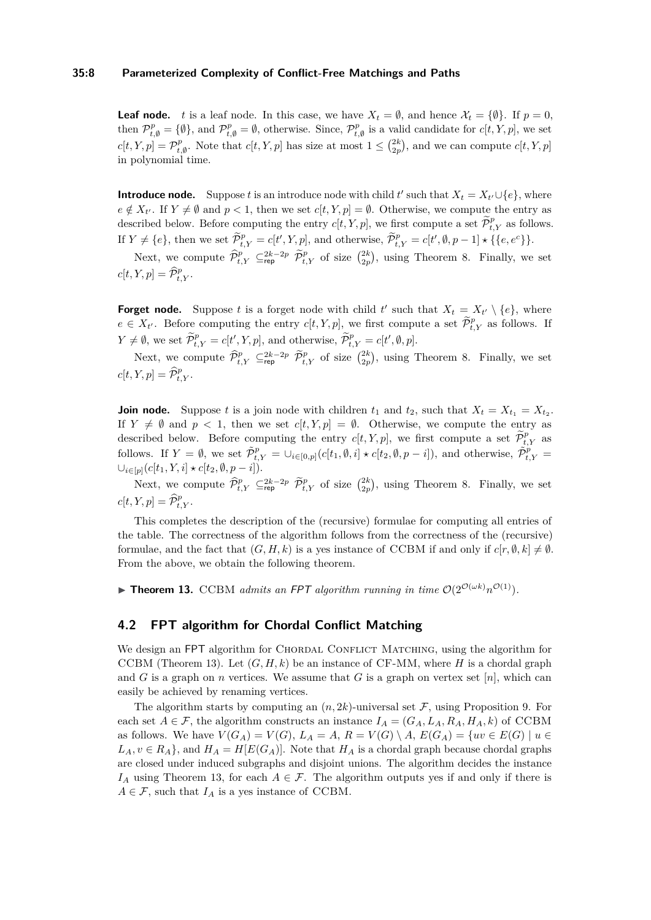#### **35:8 Parameterized Complexity of Conflict-Free Matchings and Paths**

**Leaf node.** *t* is a leaf node. In this case, we have  $X_t = \emptyset$ , and hence  $X_t = \{\emptyset\}$ . If  $p = 0$ , then  $\mathcal{P}_{t,\emptyset}^p = \{\emptyset\}$ , and  $\mathcal{P}_{t,\emptyset}^p = \emptyset$ , otherwise. Since,  $\mathcal{P}_{t,\emptyset}^p$  is a valid candidate for  $c[t, Y, p]$ , we set  $c[t, Y, p] = \mathcal{P}_{t, \emptyset}^p$ . Note that  $c[t, Y, p]$  has size at most  $1 \leq {2k \choose 2p}$ , and we can compute  $c[t, Y, p]$ in polynomial time.

**Introduce node.** Suppose *t* is an introduce node with child *t*' such that  $X_t = X_{t'} \cup \{e\}$ , where  $e \notin X_{t'}$ . If  $Y \neq \emptyset$  and  $p < 1$ , then we set  $c[t, Y, p] = \emptyset$ . Otherwise, we compute the entry as described below. Before computing the entry  $c[t, Y, p]$ , we first compute a set  $\widetilde{\mathcal{P}}_{t, Y}^p$  as follows. If  $Y \neq \{e\}$ , then we set  $\widetilde{\mathcal{P}}_{t,Y}^p = c[t', Y, p]$ , and otherwise,  $\widetilde{\mathcal{P}}_{t,Y}^p = c[t', \emptyset, p-1] \star \{\{e, e^c\}\}.$ 

Next, we compute  $\widehat{\mathcal{P}}_{t,Y}^p \subseteq_{\text{rep}}^{2k-2p} \widehat{\mathcal{P}}_{t,Y}^p$  of size  $\binom{2k}{2p}$ , using Theorem 8. Finally, we set  $c[t, Y, p] = \widehat{\mathcal{P}}_{t, Y}^p$ .

**Forget node.** Suppose *t* is a forget node with child *t'* such that  $X_t = X_{t'} \setminus \{e\}$ , where  $e \in X_{t'}$ . Before computing the entry  $c[t, Y, p]$ , we first compute a set  $\widetilde{\mathcal{P}}_{t,Y}^p$  as follows. If  $Y \neq \emptyset$ , we set  $\widetilde{\mathcal{P}}_{t,Y}^p = c[t', Y, p]$ , and otherwise,  $\widetilde{\mathcal{P}}_{t,Y}^p = c[t', \emptyset, p]$ .

Next, we compute  $\widehat{\mathcal{P}}_{t,Y}^p \subseteq_{\text{rep}}^{2k-2p} \widehat{\mathcal{P}}_{t,Y}^p$  of size  $\binom{2k}{2p}$ , using Theorem 8. Finally, we set  $c[t, Y, p] = \widehat{\mathcal{P}}_{t, Y}^p$ .

**Join node.** Suppose *t* is a join node with children  $t_1$  and  $t_2$ , such that  $X_t = X_{t_1} = X_{t_2}$ . If  $Y \neq \emptyset$  and  $p < 1$ , then we set  $c[t, Y, p] = \emptyset$ . Otherwise, we compute the entry as described below. Before computing the entry  $c[t, Y, p]$ , we first compute a set  $\widetilde{\mathcal{P}}_{t, Y}^p$  as follows. If  $Y = \emptyset$ , we set  $\tilde{\mathcal{P}}_{t,Y}^p = \bigcup_{i \in [0,p]} (c[t_1,\emptyset,i] \star c[t_2,\emptyset,p-i])$ , and otherwise,  $\tilde{\mathcal{P}}_{t,Y}^p =$  $\cup_{i \in [p]}(c[t_1, Y, i] \star c[t_2, ∅, p - i]).$ 

Next, we compute  $\widehat{\mathcal{P}}_{t,Y}^p \subseteq_{\text{rep}}^{2k-2p} \widehat{\mathcal{P}}_{t,Y}^p$  of size  $\binom{2k}{2p}$ , using Theorem 8. Finally, we set  $c[t, Y, p] = \widehat{\mathcal{P}}_{t, Y}^p$ .

This completes the description of the (recursive) formulae for computing all entries of the table. The correctness of the algorithm follows from the correctness of the (recursive) formulae, and the fact that  $(G, H, k)$  is a yes instance of CCBM if and only if  $c[r, \emptyset, k] \neq \emptyset$ . From the above, we obtain the following theorem.

**Fineorem 13.** CCBM *admits an FPT algorithm running in time*  $O(2^{O(\omega k)}n^{O(1)})$ *.* 

#### **4.2 FPT algorithm for Chordal Conflict Matching**

We design an FPT algorithm for CHORDAL CONFLICT MATCHING, using the algorithm for CCBM (Theorem 13). Let  $(G, H, k)$  be an instance of CF-MM, where *H* is a chordal graph and *G* is a graph on *n* vertices. We assume that *G* is a graph on vertex set [*n*], which can easily be achieved by renaming vertices.

The algorithm starts by computing an  $(n, 2k)$ -universal set  $\mathcal F$ , using Proposition 9. For each set  $A \in \mathcal{F}$ , the algorithm constructs an instance  $I_A = (G_A, L_A, R_A, H_A, k)$  of CCBM as follows. We have  $V(G_A) = V(G)$ ,  $L_A = A$ ,  $R = V(G) \setminus A$ ,  $E(G_A) = \{uv \in E(G) \mid u \in A\}$  $L_A, v \in R_A$ , and  $H_A = H[E(G_A)]$ . Note that  $H_A$  is a chordal graph because chordal graphs are closed under induced subgraphs and disjoint unions. The algorithm decides the instance *I*<sub>*A*</sub> using Theorem 13, for each  $A \in \mathcal{F}$ . The algorithm outputs yes if and only if there is  $A \in \mathcal{F}$ , such that  $I_A$  is a yes instance of CCBM.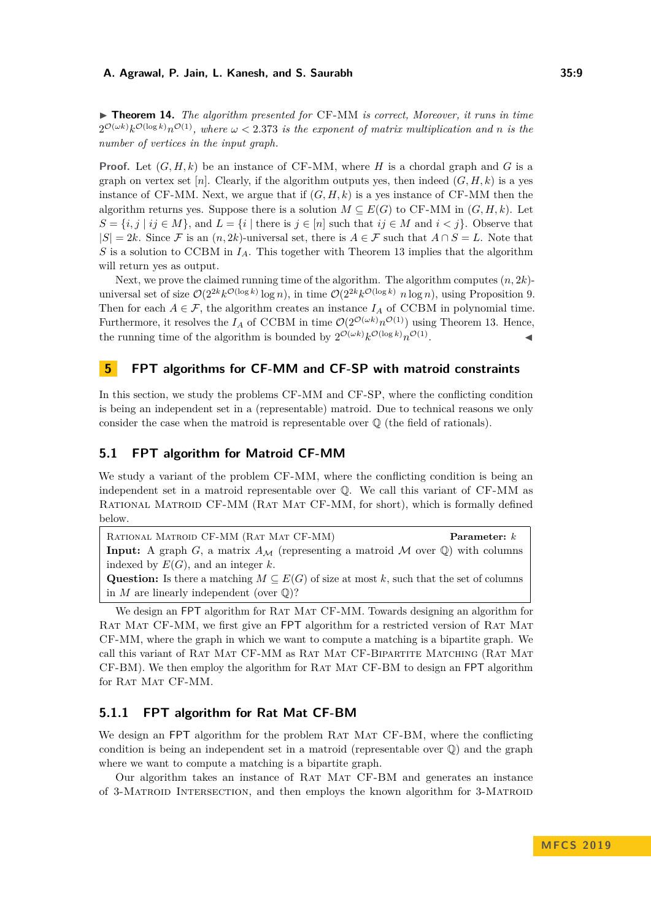◮ **Theorem 14.** *The algorithm presented for* CF-MM *is correct, Moreover, it runs in time*  $2^{\mathcal{O}(\omega k)}k^{\mathcal{O}(\log k)}n^{\mathcal{O}(1)}$ , where  $\omega < 2.373$  is the exponent of matrix multiplication and n is the *number of vertices in the input graph.*

**Proof.** Let  $(G, H, k)$  be an instance of CF-MM, where *H* is a chordal graph and *G* is a graph on vertex set [*n*]. Clearly, if the algorithm outputs yes, then indeed  $(G, H, k)$  is a yes instance of CF-MM. Next, we argue that if  $(G, H, k)$  is a yes instance of CF-MM then the algorithm returns yes. Suppose there is a solution  $M \subseteq E(G)$  to CF-MM in  $(G, H, k)$ . Let  $S = \{i, j \mid ij \in M\}$ , and  $L = \{i \mid \text{there is } j \in [n] \text{ such that } ij \in M \text{ and } i < j\}$ . Observe that  $|S| = 2k$ . Since F is an  $(n, 2k)$ -universal set, there is  $A \in \mathcal{F}$  such that  $A \cap S = L$ . Note that *S* is a solution to CCBM in *IA*. This together with Theorem 13 implies that the algorithm will return yes as output.

Next, we prove the claimed running time of the algorithm. The algorithm computes (*n,* 2*k*) universal set of size  $O(2^{2k}k^{O(\log k)}\log n)$ , in time  $O(2^{2k}k^{O(\log k)}n\log n)$ , using Proposition 9. Then for each  $A \in \mathcal{F}$ , the algorithm creates an instance  $I_A$  of CCBM in polynomial time. Furthermore, it resolves the  $I_A$  of CCBM in time  $\mathcal{O}(2^{\mathcal{O}(\omega k)} n^{\mathcal{O}(1)})$  using Theorem 13. Hence, the running time of the algorithm is bounded by  $2^{\mathcal{O}(\omega k)} k^{\mathcal{O}(\log k)} n^{\mathcal{O}(1)}$ . ◭

# **5 FPT algorithms for CF-MM and CF-SP with matroid constraints**

In this section, we study the problems CF-MM and CF-SP, where the conflicting condition is being an independent set in a (representable) matroid. Due to technical reasons we only consider the case when the matroid is representable over Q (the field of rationals).

## **5.1 FPT algorithm for Matroid CF-MM**

We study a variant of the problem CF-MM, where the conflicting condition is being an independent set in a matroid representable over Q. We call this variant of CF-MM as Rational Matroid CF-MM (Rat Mat CF-MM, for short), which is formally defined below.

Rational Matroid CF-MM (Rat Mat CF-MM) **Parameter:** *k* **Input:** A graph *G*, a matrix  $A_M$  (representing a matroid M over Q) with columns indexed by  $E(G)$ , and an integer  $k$ .

**Question:** Is there a matching  $M \subseteq E(G)$  of size at most k, such that the set of columns in  $M$  are linearly independent (over  $\mathbb{Q}$ )?

We design an FPT algorithm for RAT MAT CF-MM. Towards designing an algorithm for RAT MAT CF-MM, we first give an FPT algorithm for a restricted version of RAT MAT CF-MM, where the graph in which we want to compute a matching is a bipartite graph. We call this variant of Rat Mat CF-MM as Rat Mat CF-Bipartite Matching (Rat Mat CF-BM). We then employ the algorithm for RAT MAT CF-BM to design an FPT algorithm for RAT MAT CF-MM.

## **5.1.1 FPT algorithm for Rat Mat CF-BM**

We design an FPT algorithm for the problem RAT MAT CF-BM, where the conflicting condition is being an independent set in a matroid (representable over  $\mathbb{Q}$ ) and the graph where we want to compute a matching is a bipartite graph.

Our algorithm takes an instance of RAT MAT CF-BM and generates an instance of 3-Matroid Intersection, and then employs the known algorithm for 3-Matroid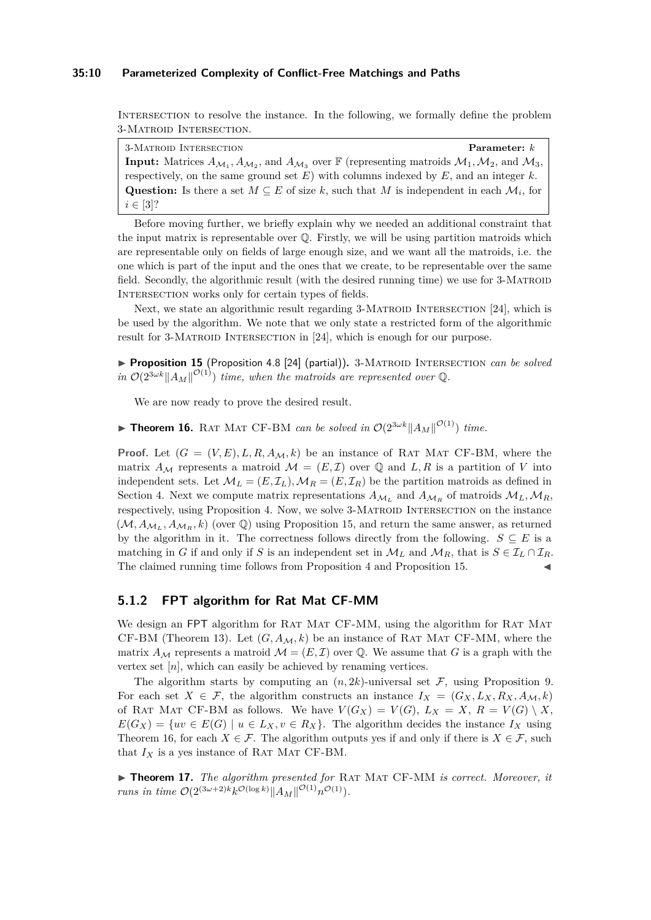#### **35:10 Parameterized Complexity of Conflict-Free Matchings and Paths**

Intersection to resolve the instance. In the following, we formally define the problem 3-Matroid Intersection.

3-Matroid Intersection **Parameter:** *k* **Input:** Matrices  $A_{M_1}, A_{M_2}$ , and  $A_{M_3}$  over  $\mathbb{F}$  (representing matroids  $M_1, M_2$ , and  $M_3$ , respectively, on the same ground set *E*) with columns indexed by *E*, and an integer *k*. Question: Is there a set  $M \subseteq E$  of size k, such that M is independent in each  $\mathcal{M}_i$ , for  $i \in [3]$ ?

Before moving further, we briefly explain why we needed an additional constraint that the input matrix is representable over  $\mathbb Q$ . Firstly, we will be using partition matroids which are representable only on fields of large enough size, and we want all the matroids, i.e. the one which is part of the input and the ones that we create, to be representable over the same field. Secondly, the algorithmic result (with the desired running time) we use for 3-MATROID INTERSECTION works only for certain types of fields.

Next, we state an algorithmic result regarding 3-MATROID INTERSECTION [24], which is be used by the algorithm. We note that we only state a restricted form of the algorithmic result for 3-MATROID INTERSECTION in [24], which is enough for our purpose.

▶ Proposition 15 (Proposition 4.8 [24] (partial)). 3-MATROID INTERSECTION *can be solved in*  $\mathcal{O}(2^{3\omega k} \|A_M\|^{O(1)})$  *time, when the matroids are represented over* Q.

We are now ready to prove the desired result.

**Fheorem 16.** RAT MAT CF-BM *can be solved in*  $\mathcal{O}(2^{3\omega k} \|A_M\|^{O(1)})$  *time.* 

**Proof.** Let  $(G = (V, E), L, R, A_{\mathcal{M}}, k)$  be an instance of RAT MAT CF-BM, where the matrix  $A_M$  represents a matroid  $M = (E, \mathcal{I})$  over  $\mathbb Q$  and  $L, R$  is a partition of *V* into independent sets. Let  $\mathcal{M}_L = (E, \mathcal{I}_L), \mathcal{M}_R = (E, \mathcal{I}_R)$  be the partition matroids as defined in Section 4. Next we compute matrix representations  $A_{\mathcal{M}_L}$  and  $A_{\mathcal{M}_R}$  of matroids  $\mathcal{M}_L, \mathcal{M}_R$ , respectively, using Proposition 4. Now, we solve 3-MATROID INTERSECTION on the instance  $(M, A_{\mathcal{M}_L}, A_{\mathcal{M}_R}, k)$  (over  $\mathbb{Q}$ ) using Proposition 15, and return the same answer, as returned by the algorithm in it. The correctness follows directly from the following.  $S \subseteq E$  is a matching in *G* if and only if *S* is an independent set in  $\mathcal{M}_L$  and  $\mathcal{M}_R$ , that is  $S \in \mathcal{I}_L \cap \mathcal{I}_R$ . The claimed running time follows from Proposition 4 and Proposition 15.

## **5.1.2 FPT algorithm for Rat Mat CF-MM**

We design an FPT algorithm for RAT MAT CF-MM, using the algorithm for RAT MAT CF-BM (Theorem 13). Let  $(G, A_{\mathcal{M}}, k)$  be an instance of RAT MAT CF-MM, where the matrix  $A_{\mathcal{M}}$  represents a matroid  $\mathcal{M} = (E, \mathcal{I})$  over  $\mathbb{Q}$ . We assume that G is a graph with the vertex set [*n*], which can easily be achieved by renaming vertices.

The algorithm starts by computing an  $(n, 2k)$ -universal set  $\mathcal F$ , using Proposition 9. For each set  $X \in \mathcal{F}$ , the algorithm constructs an instance  $I_X = (G_X, L_X, R_X, A_M, k)$ of RAT MAT CF-BM as follows. We have  $V(G_X) = V(G), L_X = X, R = V(G) \setminus X$ ,  $E(G_X) = \{uv \in E(G) \mid u \in L_X, v \in R_X\}.$  The algorithm decides the instance  $I_X$  using Theorem 16, for each  $X \in \mathcal{F}$ . The algorithm outputs yes if and only if there is  $X \in \mathcal{F}$ , such that  $I_X$  is a yes instance of RAT MAT CF-BM.

▶ **Theorem 17.** *The algorithm presented for* RAT MAT CF-MM *is correct. Moreover, it runs in time*  $\mathcal{O}(2^{(3\omega+2)k}k^{\mathcal{O}(\log k)}||A_M||^{\mathcal{O}(1)}n^{\mathcal{O}(1)}$ .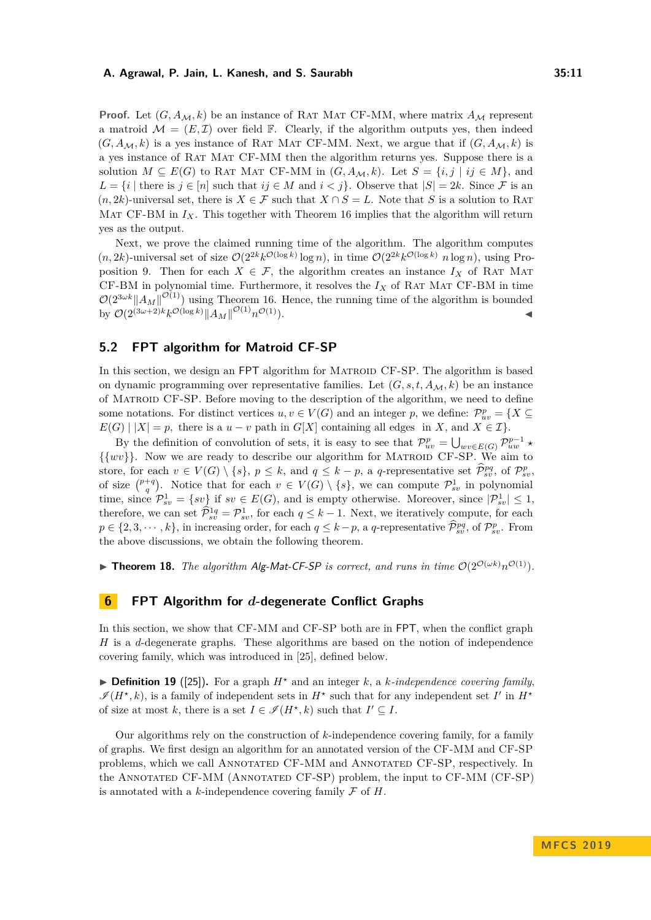**Proof.** Let  $(G, A_{\mathcal{M}}, k)$  be an instance of RAT MAT CF-MM, where matrix  $A_{\mathcal{M}}$  represent a matroid  $\mathcal{M} = (E, \mathcal{I})$  over field  $\mathbb{F}$ . Clearly, if the algorithm outputs yes, then indeed  $(G, A_{\mathcal{M}}, k)$  is a yes instance of RAT MAT CF-MM. Next, we argue that if  $(G, A_{\mathcal{M}}, k)$  is a yes instance of Rat Mat CF-MM then the algorithm returns yes. Suppose there is a solution  $M \subseteq E(G)$  to RAT MAT CF-MM in  $(G, A_{\mathcal{M}}, k)$ . Let  $S = \{i, j \mid ij \in M\}$ , and *L* = {*i* | there is *j* ∈ [*n*] such that *ij* ∈ *M* and *i* < *j*}. Observe that  $|S| = 2k$ . Since *F* is an  $(n, 2k)$ -universal set, there is  $X \in \mathcal{F}$  such that  $X \cap S = L$ . Note that *S* is a solution to RAT MAT CF-BM in  $I_X$ . This together with Theorem 16 implies that the algorithm will return yes as the output.

Next, we prove the claimed running time of the algorithm. The algorithm computes  $(n, 2k)$ -universal set of size  $O(2^{2k}k^{O(\log k)} \log n)$ , in time  $O(2^{2k}k^{O(\log k)} n \log n)$ , using Proposition 9. Then for each  $X \in \mathcal{F}$ , the algorithm creates an instance  $I_X$  of RAT MAT CF-BM in polynomial time. Furthermore, it resolves the  $I_X$  of RAT MAT CF-BM in time  $\mathcal{O}(2^{3\omega k} \|A_M\|^{O(1)})$  using Theorem 16. Hence, the running time of the algorithm is bounded  $\int \mathcal{O}(2^{(3\omega+2)k}k^{\mathcal{O}(\log k)}\|A_M\|^{\mathcal{O}(1)}n$  $\mathcal{O}(1)$ .

## **5.2 FPT algorithm for Matroid CF-SP**

In this section, we design an FPT algorithm for MATROID CF-SP. The algorithm is based on dynamic programming over representative families. Let  $(G, s, t, A_{\mathcal{M}}, k)$  be an instance of Matroid CF-SP. Before moving to the description of the algorithm, we need to define some notations. For distinct vertices  $u, v \in V(G)$  and an integer p, we define:  $\mathcal{P}^p_{uv} = \{X \subseteq$  $E(G) | |X| = p$ , there is a  $u - v$  path in  $G[X]$  containing all edges in *X*, and  $X \in \mathcal{I}$ .

By the definition of convolution of sets, it is easy to see that  $\mathcal{P}_{uv}^p = \bigcup_{wv \in E(G)} \mathcal{P}_{uw}^{p-1}$  $\{\{wv\}\}\.$  Now we are ready to describe our algorithm for MATROID CF-SP. We aim to store, for each  $v \in V(G) \setminus \{s\}$ ,  $p \leq k$ , and  $q \leq k - p$ , a *q*-representative set  $\widehat{\mathcal{P}}_{sv}^{pq}$ , of  $\mathcal{P}_{sv}^p$ of size  $\binom{p+q}{q}$ . Notice that for each  $v \in V(G) \setminus \{s\}$ , we can compute  $\mathcal{P}_{sv}^1$  in polynomial time, since  $\mathcal{P}_{sv}^1 = \{sv\}$  if  $sv \in E(G)$ , and is empty otherwise. Moreover, since  $|\mathcal{P}_{sv}^1| \leq 1$ , therefore, we can set  $\hat{\mathcal{P}}_{sv}^{1q} = \mathcal{P}_{sv}^1$ , for each  $q \leq k-1$ . Next, we iteratively compute, for each  $p \in \{2, 3, \dots, k\}$ , in increasing order, for each  $q \leq k - p$ , a *q*-representative  $\widehat{\mathcal{P}}_{sv}^{pq}$ , of  $\mathcal{P}_{sv}^p$ . From the above discussions, we obtain the following theorem.

**Theorem 18.** *The algorithm Alg-Mat-CF-SP is correct, and runs in time*  $O(2^{O(\omega k)}n^{O(1)})$ *.* 

## **6 FPT Algorithm for** *d***-degenerate Conflict Graphs**

In this section, we show that CF-MM and CF-SP both are in FPT, when the conflict graph *H* is a *d*-degenerate graphs. These algorithms are based on the notion of independence covering family, which was introduced in [25], defined below.

 $\triangleright$  **Definition 19** ([25]). For a graph  $H^*$  and an integer k, a k-independence covering family,  $\mathscr{I}(H^{\star}, k)$ , is a family of independent sets in  $H^{\star}$  such that for any independent set *I'* in  $H^{\star}$ of size at most *k*, there is a set  $I \in \mathcal{I}(H^*, k)$  such that  $I' \subseteq I$ .

Our algorithms rely on the construction of *k*-independence covering family, for a family of graphs. We first design an algorithm for an annotated version of the CF-MM and CF-SP problems, which we call Annotated CF-MM and Annotated CF-SP, respectively. In the Annotated CF-MM (Annotated CF-SP) problem, the input to CF-MM (CF-SP) is annotated with a  $k$ -independence covering family  $\mathcal F$  of  $H$ .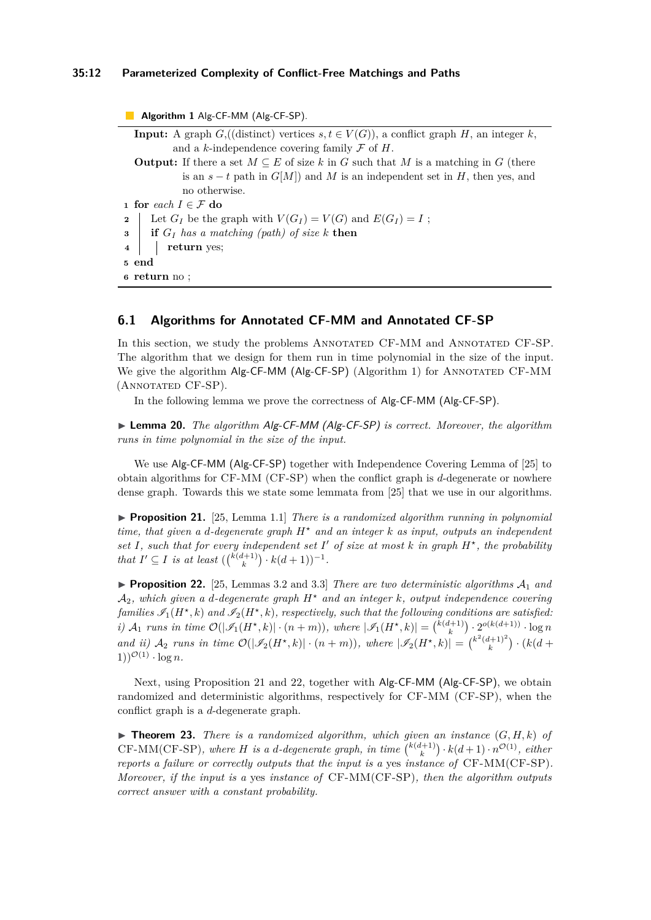#### **35:12 Parameterized Complexity of Conflict-Free Matchings and Paths**

**Algorithm 1** Alg-CF-MM (Alg-CF-SP). **Input:** A graph  $G$ ,((distinct) vertices  $s, t \in V(G)$ ), a conflict graph *H*, an integer *k*, and a *k*-independence covering family  $\mathcal F$  of  $H$ . **Output:** If there a set  $M \subseteq E$  of size k in *G* such that M is a matching in *G* (there is an  $s - t$  path in  $G[M]$ ) and M is an independent set in H, then yes, and no otherwise. **1 for** *each*  $I \in \mathcal{F}$  **do 2** | Let  $G_I$  be the graph with  $V(G_I) = V(G)$  and  $E(G_I) = I$ ; **<sup>3</sup> if** *G<sup>I</sup> has a matching (path) of size k* **then <sup>4</sup> return** yes; **<sup>5</sup> end <sup>6</sup> return** no ;

## **6.1 Algorithms for Annotated CF-MM and Annotated CF-SP**

In this section, we study the problems ANNOTATED CF-MM and ANNOTATED CF-SP. The algorithm that we design for them run in time polynomial in the size of the input. We give the algorithm  $Alg$ -CF-MM  $(Alg$ -CF-SP $)$   $(Alg$ orithm 1) for ANNOTATED CF-MM (Annotated CF-SP).

In the following lemma we prove the correctness of Alg-CF-MM (Alg-CF-SP).

◮ **Lemma 20.** *The algorithm* Alg-CF-MM (Alg-CF-SP) *is correct. Moreover, the algorithm runs in time polynomial in the size of the input.*

We use Alg-CF-MM (Alg-CF-SP) together with Independence Covering Lemma of [25] to obtain algorithms for CF-MM (CF-SP) when the conflict graph is *d*-degenerate or nowhere dense graph. Towards this we state some lemmata from [25] that we use in our algorithms.

▶ **Proposition 21.** [25, Lemma 1.1] *There is a randomized algorithm running in polynomial time, that given a d-degenerate graph H<sup>⋆</sup> and an integer k as input, outputs an independent* set  $I$ , such that for every independent set  $I'$  of size at most  $k$  in graph  $H^*$ , the probability *that*  $I' \subseteq I$  *is at least*  $({\binom{k(d+1)}{k}} \cdot k(d+1))^{-1}$ *.* 

**Proposition 22.** [25, Lemmas 3.2 and 3.3] *There are two deterministic algorithms*  $A_1$  *and*  $A_2$ , which given a *d*-degenerate graph  $H^*$  and an integer  $k$ , output independence covering  $families \mathscr{I}_1(H^{\star}, k)$  and  $\mathscr{I}_2(H^{\star}, k)$ , respectively, such that the following conditions are satisfied: i)  $A_1$  runs in time  $\mathcal{O}(|\mathscr{I}_1(H^{\star},k)|\cdot(n+m))$ , where  $|\mathscr{I}_1(H^{\star},k)| = {\kappa(d+1) \choose k} \cdot 2^{o(k(d+1))} \cdot \log n$ *and ii*)  $A_2$  *runs in time*  $\mathcal{O}(|\mathcal{I}_2(H^*, k)| \cdot (n + m))$ , *where*  $|\mathcal{I}_2(H^*, k)| = {k^2(d+1)^2 \choose k} \cdot (k(d + m))$  $1))^{\mathcal{O}(1)} \cdot \log n$ .

Next, using Proposition 21 and 22, together with Alg-CF-MM (Alg-CF-SP), we obtain randomized and deterministic algorithms, respectively for CF-MM (CF-SP), when the conflict graph is a *d*-degenerate graph.

 $\blacktriangleright$  **Theorem 23.** *There is a randomized algorithm, which given an instance*  $(G, H, k)$  *of*  $CF-MM(CF-SP)$ *, where H is a d-degenerate graph, in time*  $\binom{k(d+1)}{k} \cdot k(d+1) \cdot n^{\mathcal{O}(1)}$ *, either reports a failure or correctly outputs that the input is a* yes *instance of* CF-MM(CF-SP)*. Moreover, if the input is a* yes *instance of* CF-MM(CF-SP)*, then the algorithm outputs correct answer with a constant probability.*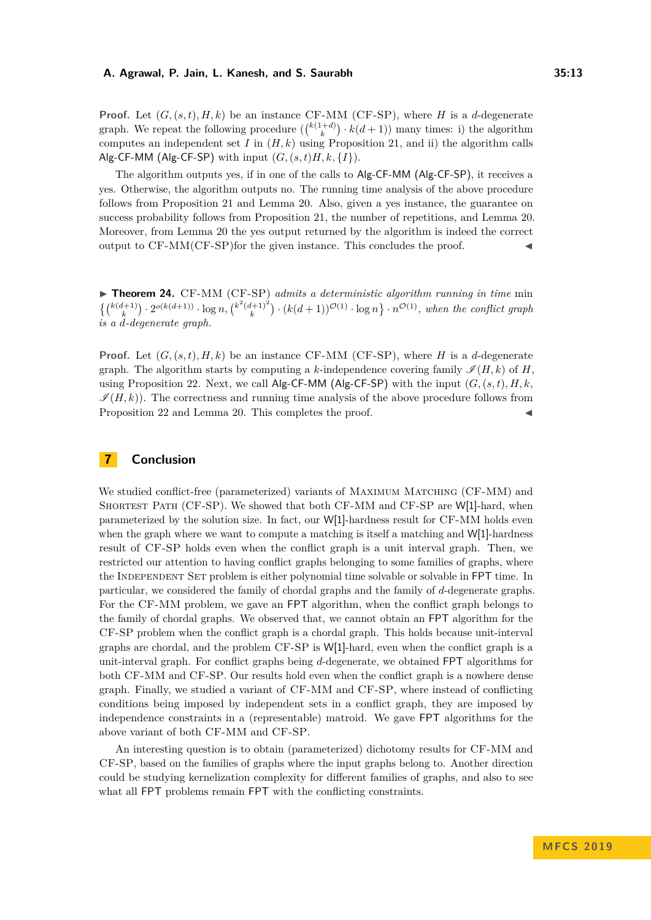**Proof.** Let  $(G, (s,t), H, k)$  be an instance CF-MM (CF-SP), where *H* is a *d*-degenerate graph. We repeat the following procedure  $(\binom{k(1+d)}{k} \cdot \widehat{k(d+1)})$  many times: i) the algorithm computes an independent set *I* in  $(H, k)$  using Proposition 21, and ii) the algorithm calls Alg-CF-MM (Alg-CF-SP) with input  $(G, (s, t)H, k, \{I\})$ .

The algorithm outputs yes, if in one of the calls to Alg-CF-MM (Alg-CF-SP), it receives a yes. Otherwise, the algorithm outputs no. The running time analysis of the above procedure follows from Proposition 21 and Lemma 20. Also, given a yes instance, the guarantee on success probability follows from Proposition 21, the number of repetitions, and Lemma 20. Moreover, from Lemma 20 the yes output returned by the algorithm is indeed the correct output to  $CF-MM(CF-SP)$  for the given instance. This concludes the proof.

► **Theorem 24.** CF-MM (CF-SP) *admits a deterministic algorithm running in time min*  $\{ {k(d+1) \choose k} \cdot 2^{o(k(d+1))} \cdot \log n, {k^2(d+1)^2 \choose k} \cdot (k(d+1))^{O(1)} \cdot \log n \} \cdot n^{O(1)},$  when the conflict graph *is a d-degenerate graph.*

**Proof.** Let  $(G, (s,t), H, k)$  be an instance CF-MM (CF-SP), where *H* is a *d*-degenerate graph. The algorithm starts by computing a k-independence covering family  $\mathscr{I}(H, k)$  of *H*. using Proposition 22. Next, we call  $\mathsf{Alg}\text{-}\mathsf{CF}\text{-}\mathsf{MM}$  ( $\mathsf{Alg}\text{-}\mathsf{CF}\text{-}\mathsf{SP}$ ) with the input  $(G, (s, t), H, k,$  $\mathcal{I}(H,k)$ ). The correctness and running time analysis of the above procedure follows from Proposition 22 and Lemma 20. This completes the proof.

# **7 Conclusion**

We studied conflict-free (parameterized) variants of MAXIMUM MATCHING (CF-MM) and SHORTEST PATH (CF-SP). We showed that both CF-MM and CF-SP are W[1]-hard, when parameterized by the solution size. In fact, our W[1]-hardness result for CF-MM holds even when the graph where we want to compute a matching is itself a matching and W[1]-hardness result of CF-SP holds even when the conflict graph is a unit interval graph. Then, we restricted our attention to having conflict graphs belonging to some families of graphs, where the INDEPENDENT SET problem is either polynomial time solvable or solvable in FPT time. In particular, we considered the family of chordal graphs and the family of *d*-degenerate graphs. For the CF-MM problem, we gave an FPT algorithm, when the conflict graph belongs to the family of chordal graphs. We observed that, we cannot obtain an FPT algorithm for the CF-SP problem when the conflict graph is a chordal graph. This holds because unit-interval graphs are chordal, and the problem CF-SP is W[1]-hard, even when the conflict graph is a unit-interval graph. For conflict graphs being *d*-degenerate, we obtained FPT algorithms for both CF-MM and CF-SP. Our results hold even when the conflict graph is a nowhere dense graph. Finally, we studied a variant of CF-MM and CF-SP, where instead of conflicting conditions being imposed by independent sets in a conflict graph, they are imposed by independence constraints in a (representable) matroid. We gave FPT algorithms for the above variant of both CF-MM and CF-SP.

An interesting question is to obtain (parameterized) dichotomy results for CF-MM and CF-SP, based on the families of graphs where the input graphs belong to. Another direction could be studying kernelization complexity for different families of graphs, and also to see what all FPT problems remain FPT with the conflicting constraints.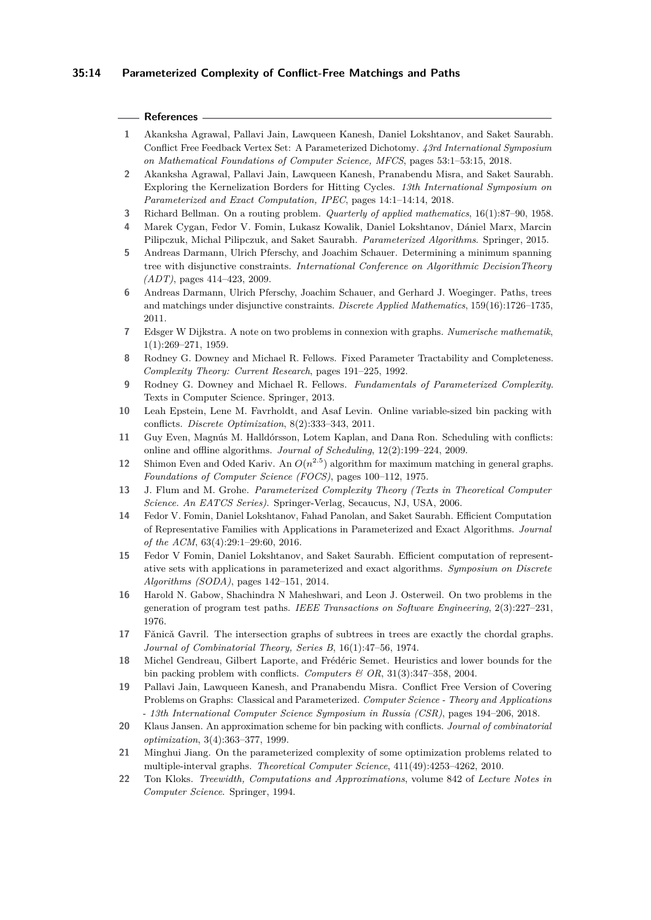## **35:14 Parameterized Complexity of Conflict-Free Matchings and Paths**

#### **References**

- **1** Akanksha Agrawal, Pallavi Jain, Lawqueen Kanesh, Daniel Lokshtanov, and Saket Saurabh. Conflict Free Feedback Vertex Set: A Parameterized Dichotomy. *43rd International Symposium on Mathematical Foundations of Computer Science, MFCS*, pages 53:1–53:15, 2018.
- **2** Akanksha Agrawal, Pallavi Jain, Lawqueen Kanesh, Pranabendu Misra, and Saket Saurabh. Exploring the Kernelization Borders for Hitting Cycles. *13th International Symposium on Parameterized and Exact Computation, IPEC*, pages 14:1–14:14, 2018.
- **3** Richard Bellman. On a routing problem. *Quarterly of applied mathematics*, 16(1):87–90, 1958.
- **4** Marek Cygan, Fedor V. Fomin, Lukasz Kowalik, Daniel Lokshtanov, Dániel Marx, Marcin Pilipczuk, Michal Pilipczuk, and Saket Saurabh. *Parameterized Algorithms*. Springer, 2015.
- **5** Andreas Darmann, Ulrich Pferschy, and Joachim Schauer. Determining a minimum spanning tree with disjunctive constraints. *International Conference on Algorithmic DecisionTheory (ADT)*, pages 414–423, 2009.
- **6** Andreas Darmann, Ulrich Pferschy, Joachim Schauer, and Gerhard J. Woeginger. Paths, trees and matchings under disjunctive constraints. *Discrete Applied Mathematics*, 159(16):1726–1735, 2011.
- **7** Edsger W Dijkstra. A note on two problems in connexion with graphs. *Numerische mathematik*, 1(1):269–271, 1959.
- **8** Rodney G. Downey and Michael R. Fellows. Fixed Parameter Tractability and Completeness. *Complexity Theory: Current Research*, pages 191–225, 1992.
- **9** Rodney G. Downey and Michael R. Fellows. *Fundamentals of Parameterized Complexity*. Texts in Computer Science. Springer, 2013.
- **10** Leah Epstein, Lene M. Favrholdt, and Asaf Levin. Online variable-sized bin packing with conflicts. *Discrete Optimization*, 8(2):333–343, 2011.
- **11** Guy Even, Magnús M. Halldórsson, Lotem Kaplan, and Dana Ron. Scheduling with conflicts: online and offline algorithms. *Journal of Scheduling*, 12(2):199–224, 2009.
- **12** Shimon Even and Oded Kariv. An  $O(n^{2.5})$  algorithm for maximum matching in general graphs. *Foundations of Computer Science (FOCS)*, pages 100–112, 1975.
- **13** J. Flum and M. Grohe. *Parameterized Complexity Theory (Texts in Theoretical Computer Science. An EATCS Series)*. Springer-Verlag, Secaucus, NJ, USA, 2006.
- **14** Fedor V. Fomin, Daniel Lokshtanov, Fahad Panolan, and Saket Saurabh. Efficient Computation of Representative Families with Applications in Parameterized and Exact Algorithms. *Journal of the ACM*, 63(4):29:1–29:60, 2016.
- **15** Fedor V Fomin, Daniel Lokshtanov, and Saket Saurabh. Efficient computation of representative sets with applications in parameterized and exact algorithms. *Symposium on Discrete Algorithms (SODA)*, pages 142–151, 2014.
- **16** Harold N. Gabow, Shachindra N Maheshwari, and Leon J. Osterweil. On two problems in the generation of program test paths. *IEEE Transactions on Software Engineering*, 2(3):227–231, 1976.
- 17 Fǎnicǎ Gavril. The intersection graphs of subtrees in trees are exactly the chordal graphs. *Journal of Combinatorial Theory, Series B*, 16(1):47–56, 1974.
- **18** Michel Gendreau, Gilbert Laporte, and Frédéric Semet. Heuristics and lower bounds for the bin packing problem with conflicts. *Computers & OR*, 31(3):347–358, 2004.
- **19** Pallavi Jain, Lawqueen Kanesh, and Pranabendu Misra. Conflict Free Version of Covering Problems on Graphs: Classical and Parameterized. *Computer Science - Theory and Applications - 13th International Computer Science Symposium in Russia (CSR)*, pages 194–206, 2018.
- **20** Klaus Jansen. An approximation scheme for bin packing with conflicts. *Journal of combinatorial optimization*, 3(4):363–377, 1999.
- **21** Minghui Jiang. On the parameterized complexity of some optimization problems related to multiple-interval graphs. *Theoretical Computer Science*, 411(49):4253–4262, 2010.
- **22** Ton Kloks. *Treewidth, Computations and Approximations*, volume 842 of *Lecture Notes in Computer Science*. Springer, 1994.